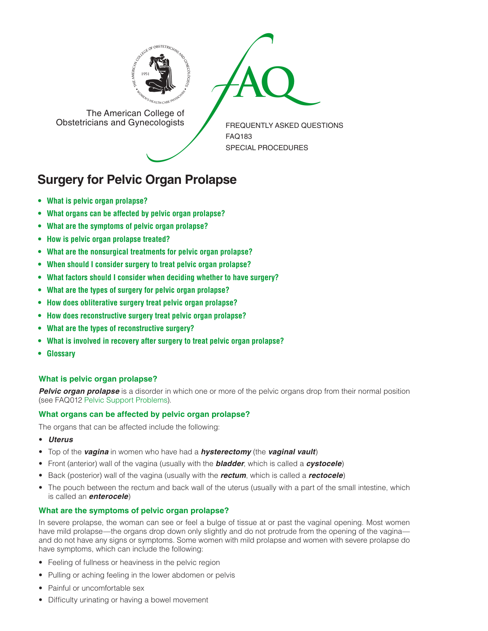



The American College of<br>Obstetricians and Gynecologists

FREQUENTLY ASKED QUESTIONS FAQ183 SPECIAL PROCEDURES

# **Surgery for Pelvic Organ Prolapse**

- **• [What is pelvic organ prolapse?](#page-0-0)**
- **• [What organs can be affected by pelvic organ prolapse?](#page-0-1)**
- **• [What are the symptoms of pelvic organ prolapse?](#page-0-2)**
- **• [How is pelvic organ prolapse treated?](#page-1-0)**
- **• [What are the nonsurgical treatments for pelvic organ prolapse?](#page-1-1)**
- **• [When should I consider surgery to treat pelvic organ prolapse?](#page-1-2)**
- **• [What factors should I consider when deciding whether to have surgery?](#page-1-3)**
- **• [What are the types of surgery for pelvic organ prolapse?](#page-1-4)**
- **• [How does obliterative surgery treat pelvic organ prolapse?](#page-1-5)**
- **• [How does reconstructive surgery treat pelvic organ prolapse?](#page-1-6)**
- **• [What are the types of reconstructive surgery?](#page-1-7)**
- **• [What is involved in recovery after surgery to treat pelvic organ prolapse?](#page-3-0)**
- **• [Glossary](#page-3-1)**

# <span id="page-0-0"></span>**What is pelvic organ prolapse?**

**Pelvic organ prolapse** is a disorder in which one or more of the pelvic organs drop from their normal position (see FAQ012 [Pelvic Support Problems\)](http://www.acog.org/~/media/For%20Patients/faq012.ashx).

## <span id="page-0-1"></span>**What organs can be affected by pelvic organ prolapse?**

The organs that can be affected include the following:

- *Uterus*
- Top of the *vagina* in women who have had a *hysterectomy* (the *vaginal vault*)
- Front (anterior) wall of the vagina (usually with the *bladder*, which is called a *cystocele*)
- Back (posterior) wall of the vagina (usually with the *rectum*, which is called a *rectocele*)
- The pouch between the rectum and back wall of the uterus (usually with a part of the small intestine, which is called an *enterocele*)

# <span id="page-0-2"></span>**What are the symptoms of pelvic organ prolapse?**

In severe prolapse, the woman can see or feel a bulge of tissue at or past the vaginal opening. Most women have mild prolapse—the organs drop down only slightly and do not protrude from the opening of the vagina and do not have any signs or symptoms. Some women with mild prolapse and women with severe prolapse do have symptoms, which can include the following:

- Feeling of fullness or heaviness in the pelvic region
- Pulling or aching feeling in the lower abdomen or pelvis
- Painful or uncomfortable sex
- Difficulty urinating or having a bowel movement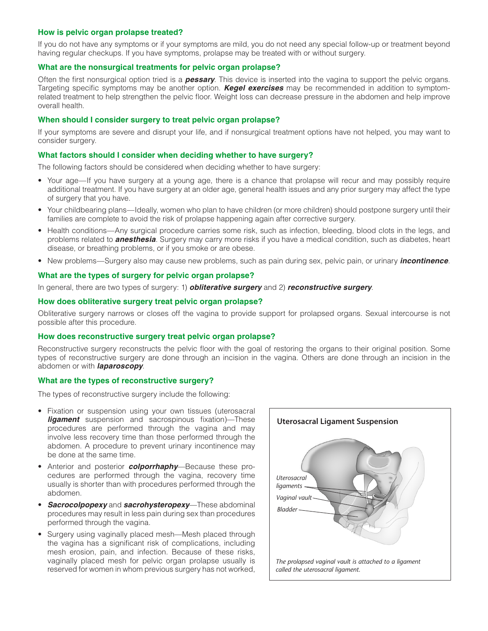## <span id="page-1-0"></span>**How is pelvic organ prolapse treated?**

If you do not have any symptoms or if your symptoms are mild, you do not need any special follow-up or treatment beyond having regular checkups. If you have symptoms, prolapse may be treated with or without surgery.

#### <span id="page-1-1"></span>**What are the nonsurgical treatments for pelvic organ prolapse?**

Often the first nonsurgical option tried is a *pessary*. This device is inserted into the vagina to support the pelvic organs. Targeting specific symptoms may be another option. *Kegel exercises* may be recommended in addition to symptomrelated treatment to help strengthen the pelvic floor. Weight loss can decrease pressure in the abdomen and help improve overall health.

## <span id="page-1-2"></span>**When should I consider surgery to treat pelvic organ prolapse?**

If your symptoms are severe and disrupt your life, and if nonsurgical treatment options have not helped, you may want to consider surgery.

#### <span id="page-1-3"></span>**What factors should I consider when deciding whether to have surgery?**

The following factors should be considered when deciding whether to have surgery:

- Your age—If you have surgery at a young age, there is a chance that prolapse will recur and may possibly require additional treatment. If you have surgery at an older age, general health issues and any prior surgery may affect the type of surgery that you have.
- Your childbearing plans—Ideally, women who plan to have children (or more children) should postpone surgery until their families are complete to avoid the risk of prolapse happening again after corrective surgery.
- Health conditions—Any surgical procedure carries some risk, such as infection, bleeding, blood clots in the legs, and problems related to *anesthesia*. Surgery may carry more risks if you have a medical condition, such as diabetes, heart disease, or breathing problems, or if you smoke or are obese.
- New problems—Surgery also may cause new problems, such as pain during sex, pelvic pain, or urinary *incontinence*.

## <span id="page-1-4"></span>**What are the types of surgery for pelvic organ prolapse?**

In general, there are two types of surgery: 1) *obliterative surgery* and 2) *reconstructive surgery*.

## <span id="page-1-5"></span>**How does obliterative surgery treat pelvic organ prolapse?**

Obliterative surgery narrows or closes off the vagina to provide support for prolapsed organs. Sexual intercourse is not possible after this procedure.

#### <span id="page-1-6"></span>**How does reconstructive surgery treat pelvic organ prolapse?**

Reconstructive surgery reconstructs the pelvic floor with the goal of restoring the organs to their original position. Some types of reconstructive surgery are done through an incision in the vagina. Others are done through an incision in the abdomen or with *laparoscopy*.

#### <span id="page-1-7"></span>**What are the types of reconstructive surgery?**

The types of reconstructive surgery include the following:

- Fixation or suspension using your own tissues (uterosacral *ligament* suspension and sacrospinous fixation)—These procedures are performed through the vagina and may involve less recovery time than those performed through the abdomen. A procedure to prevent urinary incontinence may be done at the same time.
- Anterior and posterior *colporrhaphy*—Because these procedures are performed through the vagina, recovery time usually is shorter than with procedures performed through the abdomen.
- *Sacrocolpopexy* and *sacrohysteropexy*—These abdominal procedures may result in less pain during sex than procedures performed through the vagina.
- Surgery using vaginally placed mesh—Mesh placed through the vagina has a significant risk of complications, including mesh erosion, pain, and infection. Because of these risks, vaginally placed mesh for pelvic organ prolapse usually is reserved for women in whom previous surgery has not worked,

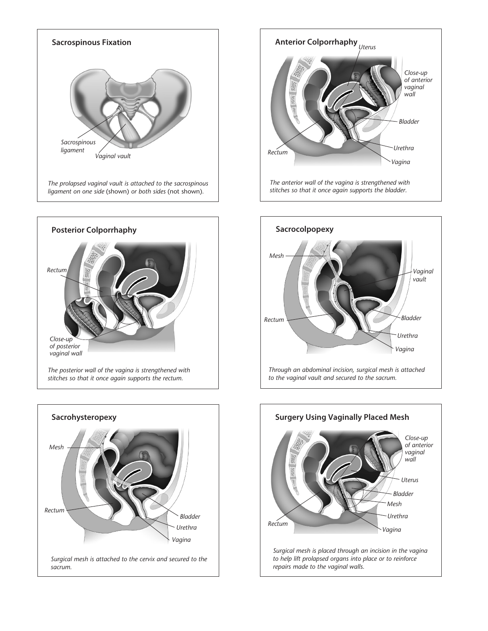